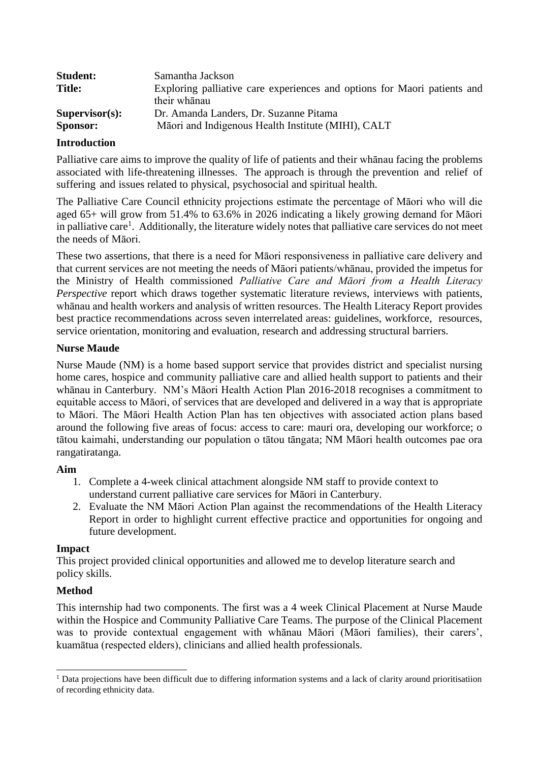| <b>Student:</b>   | Samantha Jackson                                                         |
|-------------------|--------------------------------------------------------------------------|
| <b>Title:</b>     | Exploring palliative care experiences and options for Maori patients and |
|                   | their whanau                                                             |
| $Supervisor(s)$ : | Dr. Amanda Landers, Dr. Suzanne Pitama                                   |
| <b>Sponsor:</b>   | Māori and Indigenous Health Institute (MIHI), CALT                       |

# **Introduction**

Palliative care aims to improve the quality of life of patients and their whānau facing the problems associated with life-threatening illnesses. The approach is through the prevention and relief of suffering and issues related to physical, psychosocial and spiritual health.

The Palliative Care Council ethnicity projections estimate the percentage of Māori who will die aged 65+ will grow from 51.4% to 63.6% in 2026 indicating a likely growing demand for Māori in palliative care<sup>1</sup>. Additionally, the literature widely notes that palliative care services do not meet the needs of Māori.

These two assertions, that there is a need for Māori responsiveness in palliative care delivery and that current services are not meeting the needs of Māori patients/whānau, provided the impetus for the Ministry of Health commissioned *Palliative Care and Māori from a Health Literacy Perspective* report which draws together systematic literature reviews, interviews with patients, whānau and health workers and analysis of written resources. The Health Literacy Report provides best practice recommendations across seven interrelated areas: guidelines, workforce, resources, service orientation, monitoring and evaluation, research and addressing structural barriers.

### **Nurse Maude**

Nurse Maude (NM) is a home based support service that provides district and specialist nursing home cares, hospice and community palliative care and allied health support to patients and their whānau in Canterbury. NM's Māori Health Action Plan 2016-2018 recognises a commitment to equitable access to Māori, of services that are developed and delivered in a way that is appropriate to Māori. The Māori Health Action Plan has ten objectives with associated action plans based around the following five areas of focus: access to care: mauri ora, developing our workforce; o tātou kaimahi, understanding our population o tātou tāngata; NM Māori health outcomes pae ora rangatiratanga.

### **Aim**

- 1. Complete a 4-week clinical attachment alongside NM staff to provide context to understand current palliative care services for Māori in Canterbury.
- 2. Evaluate the NM Māori Action Plan against the recommendations of the Health Literacy Report in order to highlight current effective practice and opportunities for ongoing and future development.

### **Impact**

This project provided clinical opportunities and allowed me to develop literature search and policy skills.

# **Method**

This internship had two components. The first was a 4 week Clinical Placement at Nurse Maude within the Hospice and Community Palliative Care Teams. The purpose of the Clinical Placement was to provide contextual engagement with whānau Māori (Māori families), their carers', kuamātua (respected elders), clinicians and allied health professionals.

 $\overline{a}$ <sup>1</sup> Data projections have been difficult due to differing information systems and a lack of clarity around prioritisatiion of recording ethnicity data.